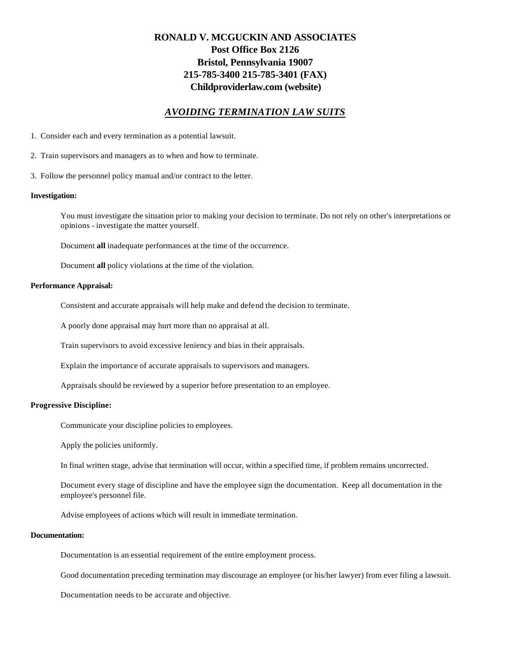# **RONALD V. MCGUCKIN AND ASSOCIATES Post Office Box 2126 Bristol, Pennsylvania 19007 215-785-3400 215-785-3401 (FAX) Childproviderlaw.com (website)**

# *AVOIDING TERMINATION LAW SUITS*

- 1. Consider each and every termination as a potential lawsuit.
- 2. Train supervisors and managers as to when and how to terminate.
- 3. Follow the personnel policy manual and/or contract to the letter.

#### **Investigation:**

You must investigate the situation prior to making your decision to terminate. Do not rely on other's interpretations or opinions - investigate the matter yourself.

Document **all** inadequate performances at the time of the occurrence.

Document **all** policy violations at the time of the violation.

#### **Performance Appraisal:**

Consistent and accurate appraisals will help make and defend the decision to terminate.

A poorly done appraisal may hurt more than no appraisal at all.

Train supervisors to avoid excessive leniency and bias in their appraisals.

Explain the importance of accurate appraisals to supervisors and managers.

Appraisals should be reviewed by a superior before presentation to an employee.

#### **Progressive Discipline:**

Communicate your discipline policies to employees.

Apply the policies uniformly.

In final written stage, advise that termination will occur, within a specified time, if problem remains uncorrected.

Document every stage of discipline and have the employee sign the documentation. Keep all documentation in the employee's personnel file.

Advise employees of actions which will result in immediate termination.

## **Documentation:**

Documentation is an essential requirement of the entire employment process.

Good documentation preceding termination may discourage an employee (or his/her lawyer) from ever filing a lawsuit.

Documentation needs to be accurate and objective.